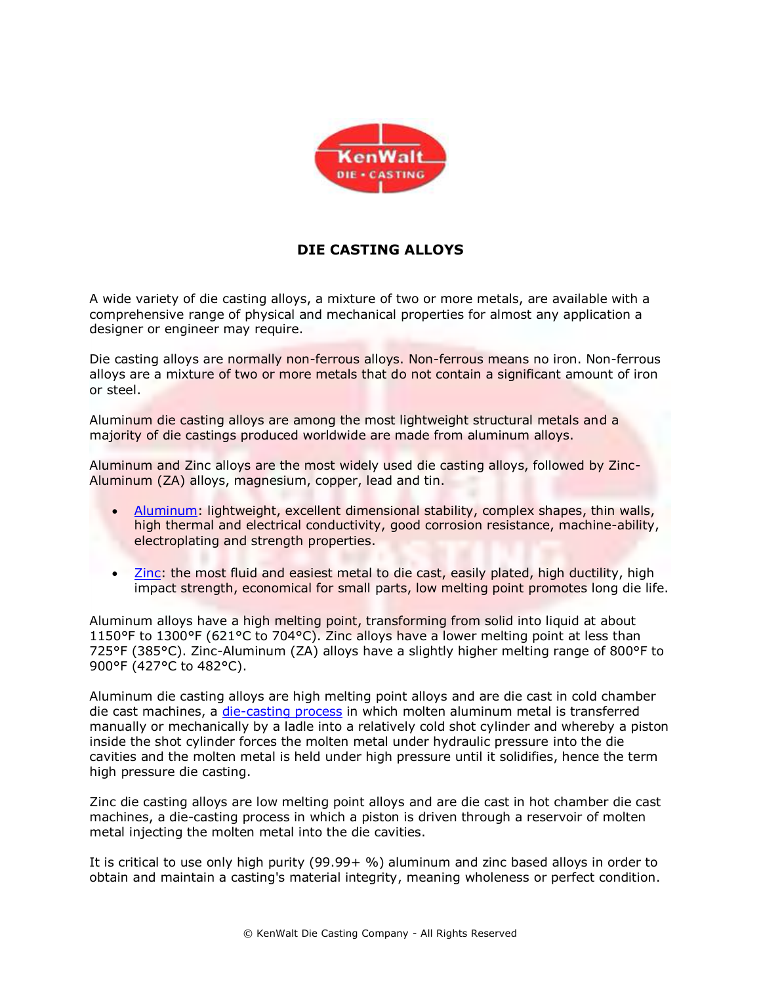

## **DIE CASTING ALLOYS**

A wide variety of die casting alloys, a mixture of two or more metals, are available with a comprehensive range of physical and mechanical properties for almost any application a designer or engineer may require.

Die casting alloys are normally non-ferrous alloys. Non-ferrous means no iron. Non-ferrous alloys are a mixture of two or more metals that do not contain a significant amount of iron or steel.

Aluminum die casting alloys are among the most lightweight structural metals and a majority of die castings produced worldwide are made from aluminum alloys.

Aluminum and Zinc alloys are the most widely used die casting alloys, followed by Zinc-Aluminum (ZA) alloys, magnesium, copper, lead and tin.

- [Aluminum:](http://www.kenwalt.com/techinfo.html) lightweight, excellent dimensional stability, complex shapes, thin walls, high thermal and electrical conductivity, good corrosion resistance, machine-ability, electroplating and strength properties.
- [Zinc:](http://www.kenwalt.com/techinfo.html) the most fluid and easiest metal to die cast, easily plated, high ductility, high impact strength, economical for small parts, low melting point promotes long die life.

Aluminum alloys have a high melting point, transforming from solid into liquid at about 1150°F to 1300°F (621°C to 704°C). Zinc alloys have a lower melting point at less than 725°F (385°C). Zinc-Aluminum (ZA) alloys have a slightly higher melting range of 800°F to 900°F (427°C to 482°C).

Aluminum die casting alloys are high melting point alloys and are die cast in cold chamber die cast machines, a [die-casting process](http://www.kenwalt.com/What-Is-Die-Casting.pdf) in which molten aluminum metal is transferred manually or mechanically by a ladle into a relatively cold shot cylinder and whereby a piston inside the shot cylinder forces the molten metal under hydraulic pressure into the die cavities and the molten metal is held under high pressure until it solidifies, hence the term high pressure die casting.

Zinc die casting alloys are low melting point alloys and are die cast in hot chamber die cast machines, a die-casting process in which a piston is driven through a reservoir of molten metal injecting the molten metal into the die cavities.

It is critical to use only high purity (99.99+ %) aluminum and zinc based alloys in order to obtain and maintain a casting's material integrity, meaning wholeness or perfect condition.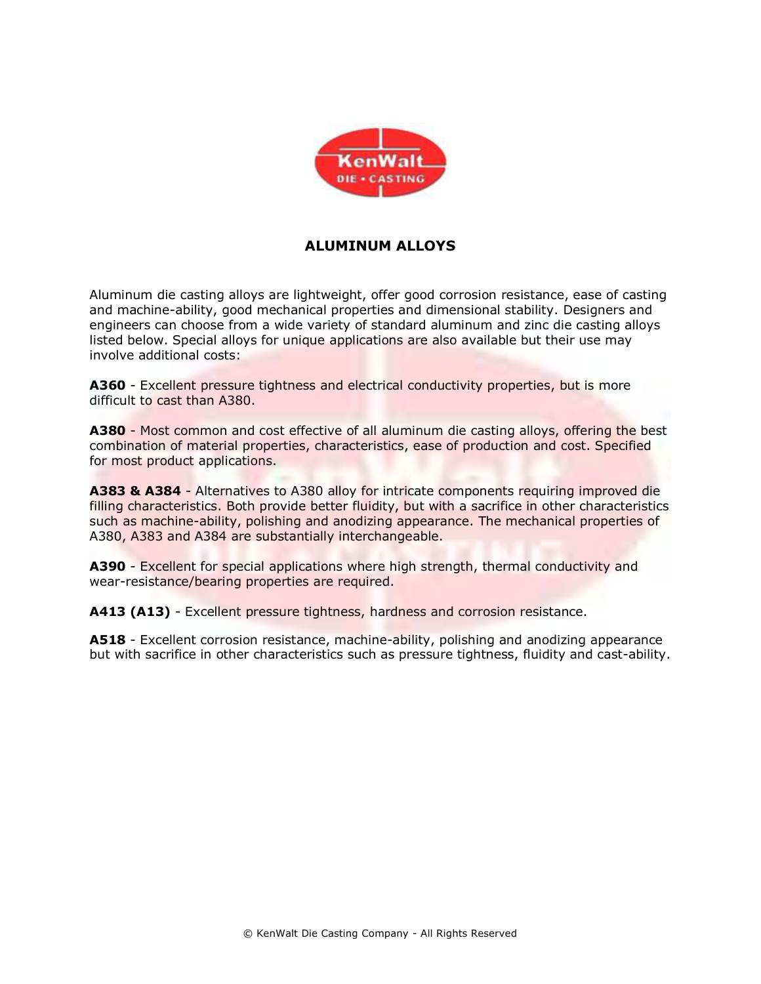

## **ALUMINUM ALLOYS**

Aluminum die casting alloys are lightweight, offer good corrosion resistance, ease of casting and machine-ability, good mechanical properties and dimensional stability. Designers and engineers can choose from a wide variety of standard aluminum and zinc die casting alloys listed below. Special alloys for unique applications are also available but their use may involve additional costs:

**A360** - Excellent pressure tightness and electrical conductivity properties, but is more difficult to cast than A380.

**A380** - Most common and cost effective of all aluminum die casting alloys, offering the best combination of material properties, characteristics, ease of production and cost. Specified for most product applications.

**A383 & A384** - Alternatives to A380 alloy for intricate components requiring improved die filling characteristics. Both provide better fluidity, but with a sacrifice in other characteristics such as machine-ability, polishing and anodizing appearance. The mechanical properties of A380, A383 and A384 are substantially interchangeable.

**A390** - Excellent for special applications where high strength, thermal conductivity and wear-resistance/bearing properties are required.

**A413 (A13)** - Excellent pressure tightness, hardness and corrosion resistance.

**A518** - Excellent corrosion resistance, machine-ability, polishing and anodizing appearance but with sacrifice in other characteristics such as pressure tightness, fluidity and cast-ability.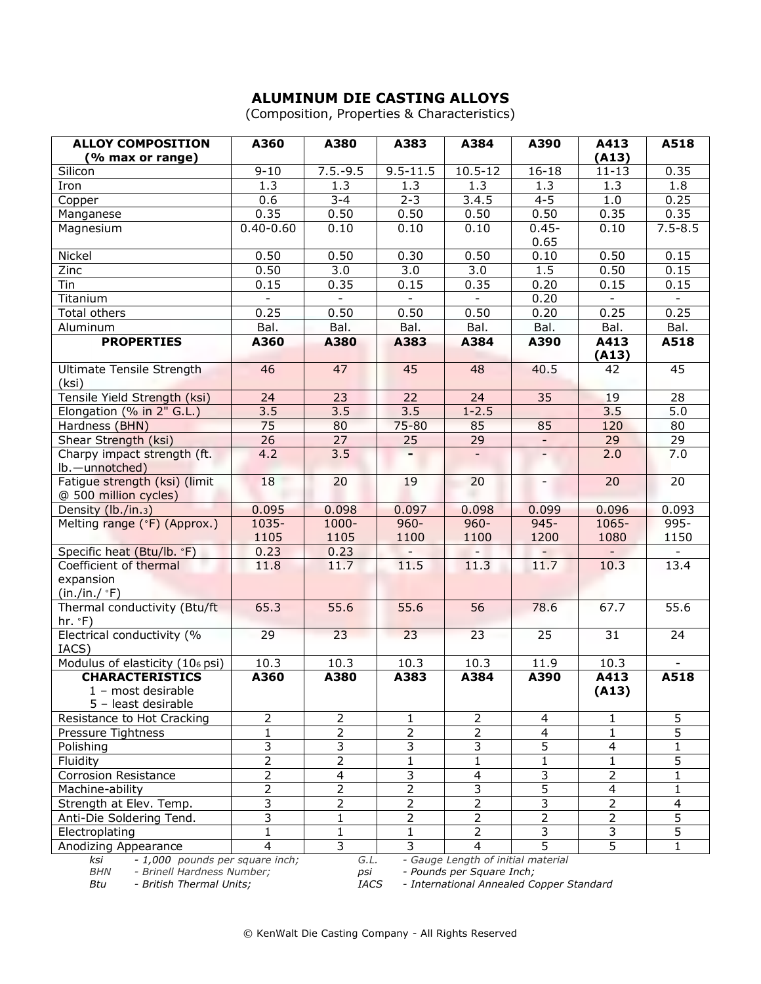## **ALUMINUM DIE CASTING ALLOYS**

(Composition, Properties & Characteristics)

| <b>ALLOY COMPOSITION</b><br>(% max or range)                                                                                                                         | A360            | A380             | A383            | A384                     | A390            | A413<br>(A13)            | A518            |  |  |
|----------------------------------------------------------------------------------------------------------------------------------------------------------------------|-----------------|------------------|-----------------|--------------------------|-----------------|--------------------------|-----------------|--|--|
| Silicon                                                                                                                                                              | $9 - 10$        | $7.5.-9.5$       | $9.5 - 11.5$    | $10.5 - 12$              | $16 - 18$       | $11 - 13$                | 0.35            |  |  |
| Iron                                                                                                                                                                 | 1.3             | 1.3              | 1.3             | 1.3                      | 1.3             | 1.3                      | 1.8             |  |  |
| Copper                                                                                                                                                               | 0.6             | $3 - 4$          | $2 - 3$         | 3.4.5                    | $4 - 5$         | 1.0                      | 0.25            |  |  |
| Manganese                                                                                                                                                            | 0.35            | 0.50             | 0.50            | 0.50                     | 0.50            | 0.35                     | 0.35            |  |  |
| Magnesium                                                                                                                                                            | $0.40 - 0.60$   | 0.10             | 0.10            | 0.10                     | $0.45 -$        | 0.10                     | $7.5 - 8.5$     |  |  |
|                                                                                                                                                                      |                 |                  |                 |                          | 0.65            |                          |                 |  |  |
| Nickel                                                                                                                                                               | 0.50            | 0.50             | 0.30            | 0.50                     | 0.10            | 0.50                     | 0.15            |  |  |
| Zinc                                                                                                                                                                 | 0.50            | 3.0              | 3.0             | 3.0                      | 1.5             | 0.50                     | 0.15            |  |  |
| Tin                                                                                                                                                                  | 0.15            | 0.35             | 0.15            | 0.35                     | 0.20            | 0.15                     | 0.15            |  |  |
| Titanium                                                                                                                                                             |                 |                  |                 | $\overline{\phantom{0}}$ | 0.20            | $\overline{\phantom{a}}$ |                 |  |  |
| <b>Total others</b>                                                                                                                                                  | 0.25            | 0.50             | 0.50            | 0.50                     | 0.20            | 0.25                     | 0.25            |  |  |
| Aluminum                                                                                                                                                             | Bal.            | Bal.             | Bal.            | Bal.                     | Bal.            | Bal.                     | Bal.            |  |  |
| <b>PROPERTIES</b>                                                                                                                                                    | A360            | A380             | A383            | A384                     | A390            | A413                     | A518            |  |  |
|                                                                                                                                                                      |                 |                  |                 |                          |                 | (A13)                    |                 |  |  |
| Ultimate Tensile Strength<br>(ksi)                                                                                                                                   | 46              | 47               | 45              | 48                       | 40.5            | 42                       | 45              |  |  |
| Tensile Yield Strength (ksi)                                                                                                                                         | 24              | 23               | 22              | 24                       | 35              | 19                       | 28              |  |  |
| Elongation (% in 2" G.L.)                                                                                                                                            | 3.5             | 3.5              | 3.5             | $1 - 2.5$                |                 | 3.5                      | 5.0             |  |  |
| Hardness (BHN)                                                                                                                                                       | 75              | 80               | 75-80           | 85                       | 85              | 120                      | 80              |  |  |
| Shear Strength (ksi)                                                                                                                                                 | 26              | 27               | 25              | 29                       |                 | 29                       | 29              |  |  |
| Charpy impact strength (ft.                                                                                                                                          | 4.2             | $\overline{3.5}$ | ٠               | $\sim$                   |                 | 2.0                      | 7.0             |  |  |
| lb.-unnotched)                                                                                                                                                       |                 |                  |                 |                          |                 |                          |                 |  |  |
| Fatigue strength (ksi) (limit                                                                                                                                        | 18              | 20               | 19              | 20                       |                 | $\overline{20}$          | 20              |  |  |
| @ 500 million cycles)                                                                                                                                                |                 |                  |                 |                          |                 |                          |                 |  |  |
| Density (lb./in.3)                                                                                                                                                   | 0.095           | 0.098            | 0.097           | 0.098                    | 0.099           | 0.096                    | 0.093           |  |  |
| Melting range (°F) (Approx.)                                                                                                                                         | 1035-           | 1000-            | $960 -$         | $960 -$                  | $945 -$         | 1065-                    | $995 -$         |  |  |
|                                                                                                                                                                      | 1105            | 1105             | 1100            | 1100                     | 1200            | 1080                     | 1150            |  |  |
| Specific heat (Btu/lb. °F)                                                                                                                                           | 0.23            | 0.23             |                 |                          |                 |                          |                 |  |  |
| Coefficient of thermal                                                                                                                                               | 11.8            | 11.7             | 11.5            | 11.3                     | 11.7            | 10.3                     | 13.4            |  |  |
| expansion                                                                                                                                                            |                 |                  |                 |                          |                 |                          |                 |  |  |
| $(in./in./$ °F)                                                                                                                                                      |                 |                  |                 |                          |                 |                          |                 |  |  |
| Thermal conductivity (Btu/ft<br>hr. °F)                                                                                                                              | 65.3            | 55.6             | 55.6            | $\overline{56}$          | 78.6            | 67.7                     | 55.6            |  |  |
| Electrical conductivity (%                                                                                                                                           | $\overline{29}$ | $\overline{23}$  | $\overline{23}$ | $\overline{23}$          | $\overline{25}$ | $\overline{31}$          | $\overline{24}$ |  |  |
| IACS)                                                                                                                                                                |                 |                  |                 |                          |                 |                          |                 |  |  |
| Modulus of elasticity (106 psi)                                                                                                                                      | 10.3            | 10.3             | 10.3            | 10.3                     | 11.9            | 10.3                     |                 |  |  |
| <b>CHARACTERISTICS</b>                                                                                                                                               | A360            | A380             | A383            | A384                     | A390            | A413                     | A518            |  |  |
| 1 - most desirable                                                                                                                                                   |                 |                  |                 |                          |                 | (A13)                    |                 |  |  |
| 5 - least desirable                                                                                                                                                  |                 |                  |                 |                          |                 |                          |                 |  |  |
| Resistance to Hot Cracking                                                                                                                                           | 2               | 2                | 1               | 2                        | 4               | 1                        | 5               |  |  |
| Pressure Tightness                                                                                                                                                   | 1               | $\overline{2}$   | 2               | 2                        | 4               | 1                        | $\overline{5}$  |  |  |
| Polishing                                                                                                                                                            | 3               | 3                | 3               | $\overline{3}$           | 5               | $\overline{4}$           | 1               |  |  |
| Fluidity                                                                                                                                                             | $\overline{2}$  | $\overline{2}$   | 1               | 1                        | 1               | 1                        | 5               |  |  |
| <b>Corrosion Resistance</b>                                                                                                                                          | 2               | 4                | 3               | 4                        | 3               | $\overline{2}$           | 1               |  |  |
| Machine-ability                                                                                                                                                      | $\overline{c}$  | 2                | $\overline{2}$  | 3                        | 5               | $\overline{4}$           | 1               |  |  |
| Strength at Elev. Temp.                                                                                                                                              | 3               | $\overline{2}$   | $\overline{2}$  | $\overline{2}$           | 3               | $\overline{2}$           | 4               |  |  |
| Anti-Die Soldering Tend.                                                                                                                                             | 3               | $\mathbf{1}$     | $\overline{2}$  | $\overline{2}$           | $\overline{2}$  | $\overline{2}$           | $\overline{5}$  |  |  |
| Electroplating                                                                                                                                                       | 1               | $\mathbf{1}$     | $\mathbf{1}$    | $\overline{2}$           | 3               | $\overline{\mathbf{3}}$  | $\overline{5}$  |  |  |
| Anodizing Appearance                                                                                                                                                 | 4               | 3                | 3               | 4                        | $\overline{5}$  | $\overline{5}$           | $\mathbf{1}$    |  |  |
| - 1,000 pounds per square inch;<br>- Gauge Length of initial material<br>G.L.<br>ksi<br><b>BHN</b><br>- Brinell Hardness Number;<br>- Pounds per Square Inch;<br>psi |                 |                  |                 |                          |                 |                          |                 |  |  |

*Btu - British Thermal Units; IACS - International Annealed Copper Standard*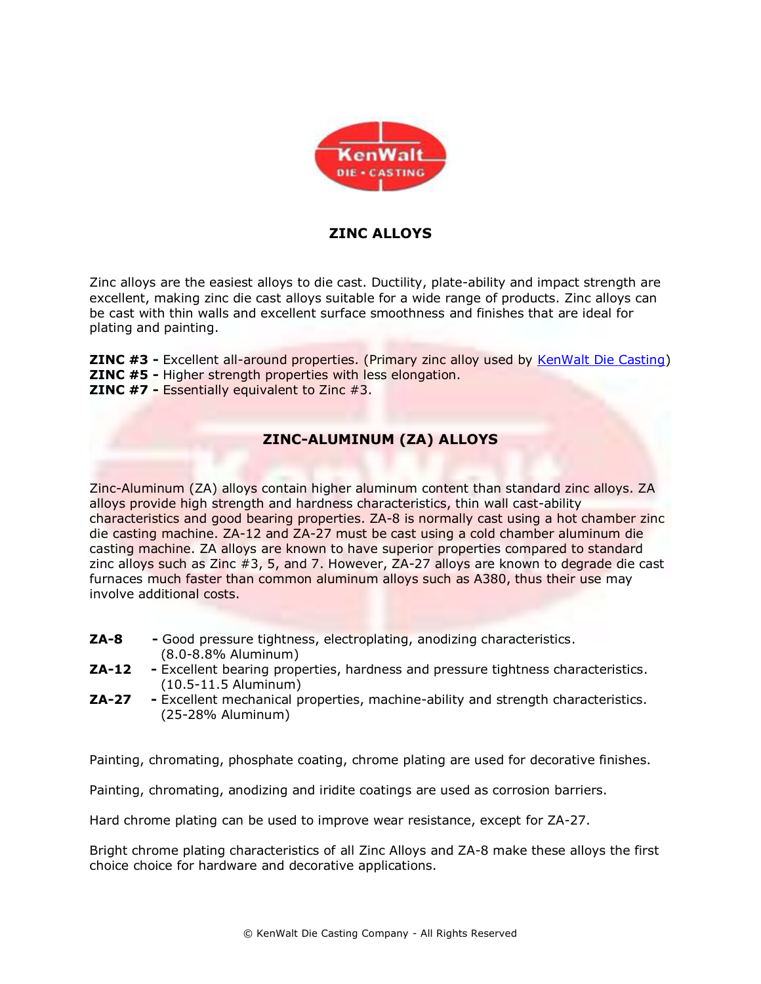

### **ZINC ALLOYS**

Zinc alloys are the easiest alloys to die cast. Ductility, plate-ability and impact strength are excellent, making zinc die cast alloys suitable for a wide range of products. Zinc alloys can be cast with thin walls and excellent surface smoothness and finishes that are ideal for plating and painting.

**ZINC #3 -** Excellent all-around properties. (Primary zinc alloy used by [KenWalt Die Casting\)](http://www.kenwalt.com/) **ZINC #5 -** Higher strength properties with less elongation. **ZINC #7 -** Essentially equivalent to Zinc #3.

#### **ZINC-ALUMINUM (ZA) ALLOYS**

Zinc-Aluminum (ZA) alloys contain higher aluminum content than standard zinc alloys. ZA alloys provide high strength and hardness characteristics, thin wall cast-ability characteristics and good bearing properties. ZA-8 is normally cast using a hot chamber zinc die casting machine. ZA-12 and ZA-27 must be cast using a cold chamber aluminum die casting machine. ZA alloys are known to have superior properties compared to standard zinc alloys such as Zinc #3, 5, and 7. However, ZA-27 alloys are known to degrade die cast furnaces much faster than common aluminum alloys such as A380, thus their use may involve additional costs.

- **ZA-8 -** Good pressure tightness, electroplating, anodizing characteristics. (8.0-8.8% Aluminum)
- **ZA-12 -** Excellent bearing properties, hardness and pressure tightness characteristics. (10.5-11.5 Aluminum)
- **ZA-27 -** Excellent mechanical properties, machine-ability and strength characteristics. (25-28% Aluminum)

Painting, chromating, phosphate coating, chrome plating are used for decorative finishes.

Painting, chromating, anodizing and iridite coatings are used as corrosion barriers.

Hard chrome plating can be used to improve wear resistance, except for ZA-27.

Bright chrome plating characteristics of all Zinc Alloys and ZA-8 make these alloys the first choice choice for hardware and decorative applications.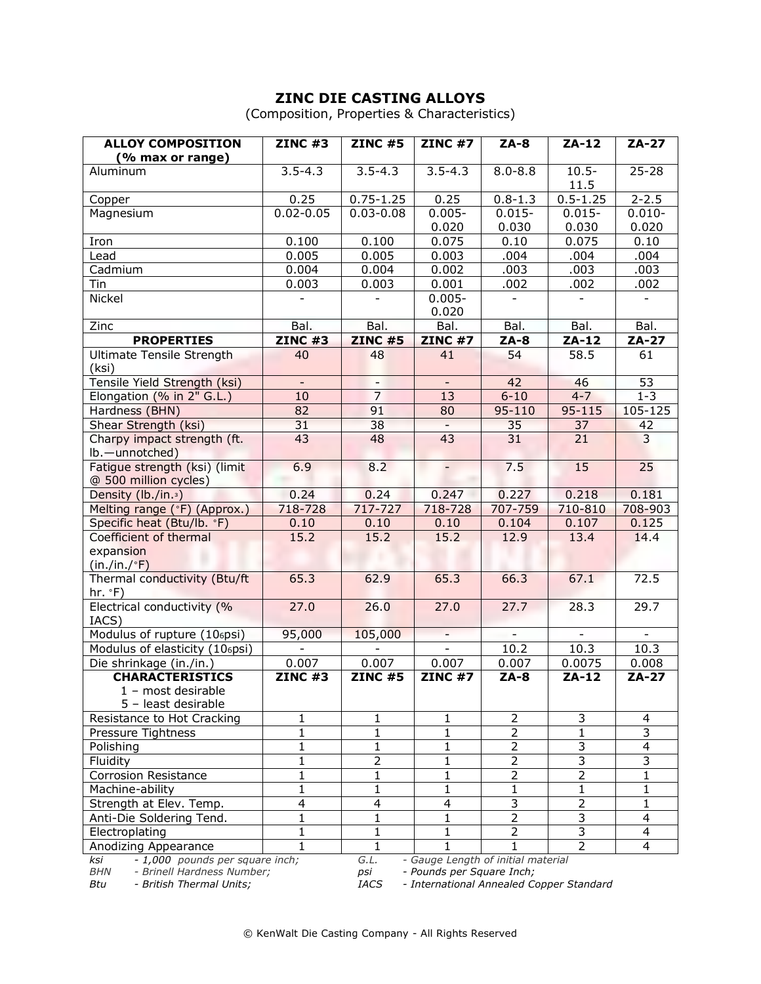# **ZINC DIE CASTING ALLOYS**

(Composition, Properties & Characteristics)

| <b>ALLOY COMPOSITION</b>                                                                   | <b>ZINC #3</b>                                                 | <b>ZINC #5</b>           | <b>ZINC #7</b> | $ZA-8$                   | $ZA-12$                 | $ZA-27$                 |  |  |  |
|--------------------------------------------------------------------------------------------|----------------------------------------------------------------|--------------------------|----------------|--------------------------|-------------------------|-------------------------|--|--|--|
| (% max or range)                                                                           |                                                                |                          |                |                          |                         |                         |  |  |  |
| Aluminum                                                                                   | $3.5 - 4.3$                                                    | $3.5 - 4.3$              | $3.5 - 4.3$    | $8.0 - 8.8$              | $10.5 -$<br>11.5        | $25 - 28$               |  |  |  |
| Copper                                                                                     | 0.25                                                           | $0.75 - 1.25$            | 0.25           | $0.8 - 1.3$              | $0.5 - 1.25$            | $2 - 2.5$               |  |  |  |
| Magnesium                                                                                  | $0.02 - 0.05$                                                  | $0.03 - 0.08$            | $0.005 -$      | $0.015 -$                | $0.015 -$               | $0.010 -$               |  |  |  |
|                                                                                            |                                                                |                          | 0.020          | 0.030                    | 0.030                   | 0.020                   |  |  |  |
| Iron                                                                                       | 0.100                                                          | 0.100                    | 0.075          | 0.10                     | 0.075                   | 0.10                    |  |  |  |
| Lead                                                                                       | 0.005                                                          | 0.005                    | 0.003          | .004                     | .004                    | .004                    |  |  |  |
| Cadmium                                                                                    | 0.004                                                          | 0.004                    | 0.002          | .003                     | .003                    | .003                    |  |  |  |
| Tin                                                                                        | 0.003                                                          | 0.003                    | 0.001          | .002                     | .002                    | .002                    |  |  |  |
| <b>Nickel</b>                                                                              |                                                                | ÷,                       | $0.005 -$      | $\blacksquare$           | $\blacksquare$          | $\blacksquare$          |  |  |  |
|                                                                                            |                                                                |                          | 0.020          |                          |                         |                         |  |  |  |
| Zinc                                                                                       | Bal.                                                           | Bal.                     | Bal.           | Bal.                     | Bal.                    | Bal.                    |  |  |  |
| <b>PROPERTIES</b>                                                                          | <b>ZINC #3</b>                                                 | <b>ZINC #5</b>           | <b>ZINC #7</b> | $ZA-8$                   | $ZA-12$                 | $ZA-27$                 |  |  |  |
| Ultimate Tensile Strength                                                                  | 40                                                             | 48                       | 41             | $\overline{54}$          | 58.5                    | 61                      |  |  |  |
| (ksi)                                                                                      |                                                                |                          |                |                          |                         |                         |  |  |  |
| Tensile Yield Strength (ksi)                                                               | $\equiv$                                                       | $\overline{\phantom{a}}$ | $\equiv$       | 42                       | 46                      | 53                      |  |  |  |
| Elongation (% in 2" G.L.)                                                                  | 10                                                             | $\overline{7}$           | 13             | $6 - 10$                 | $4 - 7$                 | $1 - 3$                 |  |  |  |
| Hardness (BHN)                                                                             | 82                                                             | 91                       | 80             | 95-110                   | 95-115                  | 105-125                 |  |  |  |
| Shear Strength (ksi)                                                                       | 31                                                             | 38                       |                | 35                       | 37                      | 42                      |  |  |  |
| Charpy impact strength (ft.                                                                | 43                                                             | 48                       | 43             | 31                       | 21                      | 3                       |  |  |  |
| lb.-unnotched)                                                                             |                                                                |                          |                |                          |                         |                         |  |  |  |
| Fatigue strength (ksi) (limit                                                              | 6.9                                                            | 8.2                      |                | 7.5                      | 15                      | 25                      |  |  |  |
| @ 500 million cycles)                                                                      |                                                                |                          |                |                          |                         |                         |  |  |  |
| Density (lb./in. <sup>3</sup> )                                                            | 0.24                                                           | 0.24                     | 0.247          | 0.227                    | 0.218                   | 0.181                   |  |  |  |
| Melting range (°F) (Approx.)                                                               | 718-728                                                        | 717-727                  | 718-728        | 707-759                  | 710-810                 | 708-903                 |  |  |  |
| Specific heat (Btu/lb. °F)                                                                 | 0.10                                                           | 0.10                     | 0.10           | 0.104                    | 0.107                   | 0.125                   |  |  |  |
| Coefficient of thermal                                                                     | 15.2                                                           | 15.2                     | 15.2           | 12.9                     | 13.4                    | 14.4                    |  |  |  |
| expansion                                                                                  |                                                                |                          |                |                          |                         |                         |  |  |  |
| (in./in./ <sup>°</sup> F)                                                                  |                                                                |                          |                |                          |                         |                         |  |  |  |
| Thermal conductivity (Btu/ft                                                               | 65.3                                                           | 62.9                     | 65.3           | 66.3                     | 67.1                    | 72.5                    |  |  |  |
| hr. °F)                                                                                    |                                                                |                          |                |                          |                         |                         |  |  |  |
| Electrical conductivity (%                                                                 | 27.0                                                           | 26.0                     | 27.0           | 27.7                     | 28.3                    | 29.7                    |  |  |  |
| IACS)                                                                                      |                                                                |                          |                |                          |                         |                         |  |  |  |
| Modulus of rupture (106psi)                                                                | 95,000                                                         | 105,000                  | $\sim$         | $\overline{\phantom{a}}$ | $\blacksquare$          | $\blacksquare$          |  |  |  |
| Modulus of elasticity (106psi)                                                             |                                                                |                          | $\blacksquare$ | 10.2                     | 10.3                    | 10.3                    |  |  |  |
| Die shrinkage (in./in.)                                                                    | 0.007                                                          | 0.007                    | 0.007          | 0.007                    | 0.0075                  | 0.008                   |  |  |  |
| <b>CHARACTERISTICS</b>                                                                     | <b>ZINC #3</b>                                                 | <b>ZINC #5</b>           | $ZINC$ #7      | $ZA-8$                   | $ZA-12$                 | $ZA-27$                 |  |  |  |
| 1 - most desirable                                                                         |                                                                |                          |                |                          |                         |                         |  |  |  |
| 5 - least desirable                                                                        |                                                                |                          |                |                          |                         |                         |  |  |  |
| Resistance to Hot Cracking                                                                 | 1                                                              | 1                        | 1              | $\overline{2}$           | 3                       | 4                       |  |  |  |
| Pressure Tightness                                                                         | $\mathbf{1}$                                                   | $\mathbf{1}$             | $\mathbf{1}$   | $\overline{2}$           | $\mathbf{1}$            | 3                       |  |  |  |
| Polishing                                                                                  | 1                                                              | 1                        | 1              | $\overline{2}$           | 3                       | 4                       |  |  |  |
| Fluidity                                                                                   | 1                                                              | $\overline{2}$           | $\mathbf{1}$   | $\overline{2}$           | 3                       | 3                       |  |  |  |
| <b>Corrosion Resistance</b>                                                                | 1                                                              | 1                        | 1              | 2                        | $\overline{2}$          | 1                       |  |  |  |
| Machine-ability                                                                            | 1                                                              | 1                        | 1              | 1                        | 1                       | 1                       |  |  |  |
| Strength at Elev. Temp.                                                                    | 4                                                              | $\overline{\mathbf{4}}$  | 4              | $\overline{3}$           | $\overline{2}$          | $\mathbf{1}$            |  |  |  |
| Anti-Die Soldering Tend.                                                                   | 1                                                              | 1                        | 1              | $\overline{2}$           | $\overline{\mathbf{3}}$ | 4                       |  |  |  |
| Electroplating                                                                             | $\mathbf 1$                                                    | 1                        | 1              | $\overline{2}$           | $\overline{3}$          | $\overline{\mathbf{4}}$ |  |  |  |
| Anodizing Appearance                                                                       | 1                                                              | 1                        | 1              | $\mathbf{1}$             | $\overline{2}$          | $\overline{4}$          |  |  |  |
| - 1,000 pounds per square inch;<br>G.L.<br>- Gauge Length of initial material<br>ksi       |                                                                |                          |                |                          |                         |                         |  |  |  |
| <b>BHN</b>                                                                                 | - Brinell Hardness Number;<br>- Pounds per Square Inch;<br>psi |                          |                |                          |                         |                         |  |  |  |
| - International Annealed Copper Standard<br>Btu<br>- British Thermal Units;<br><b>IACS</b> |                                                                |                          |                |                          |                         |                         |  |  |  |